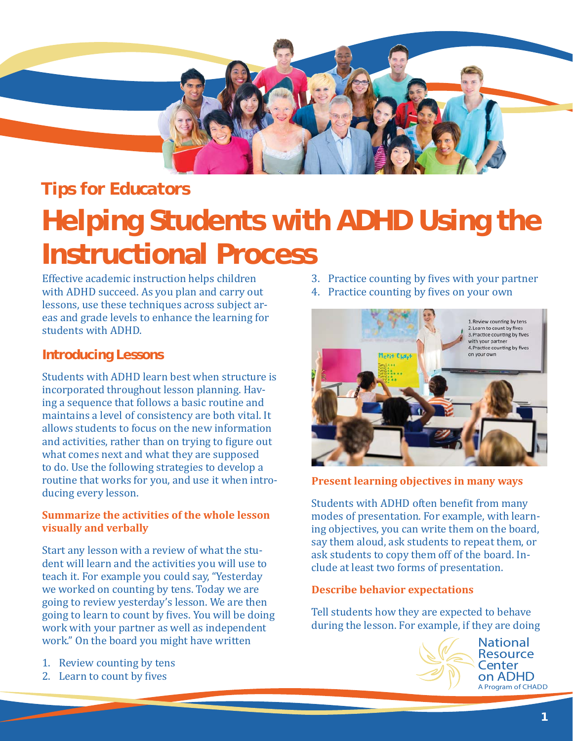

# *Tips for Educators*

# **Helping Students with ADHD Using the Instructional Process**

Effective academic instruction helps children with ADHD succeed. As you plan and carry out lessons, use these techniques across subject areas and grade levels to enhance the learning for students with ADHD.

# **Introducing Lessons**

Students with ADHD learn best when structure is incorporated throughout lesson planning. Having a sequence that follows a basic routine and maintains a level of consistency are both vital. It allows students to focus on the new information and activities, rather than on trying to figure out what comes next and what they are supposed to do. Use the following strategies to develop a routine that works for you, and use it when introducing every lesson.

# **Summarize the activities of the whole lesson visually and verbally**

Start any lesson with a review of what the student will learn and the activities you will use to teach it. For example you could say, "Yesterday we worked on counting by tens. Today we are going to review yesterday's lesson. We are then going to learn to count by fives. You will be doing work with your partner as well as independent work." On the board you might have written

- 1. Review counting by tens
- 2. Learn to count by fives
- 3. Practice counting by fives with your partner
- 4. Practice counting by fives on your own



# **Present learning objectives in many ways**

Students with ADHD often benefit from many modes of presentation. For example, with learning objectives, you can write them on the board, say them aloud, ask students to repeat them, or ask students to copy them off of the board. Include at least two forms of presentation.

#### **Describe behavior expectations**

Tell students how they are expected to behave during the lesson. For example, if they are doing



**National** Resource Center on ADHD A Program of CHADD A Program of CHADD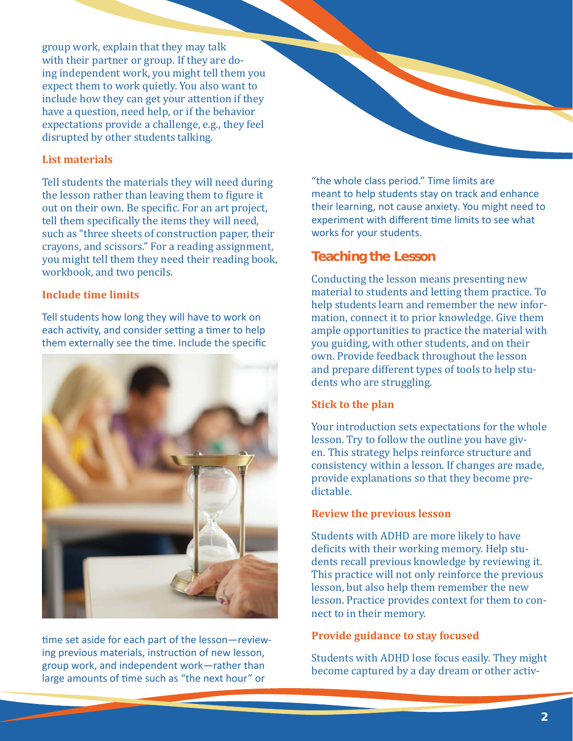group work, explain that they may talk with their partner or group. If they are doing independent work, you might tell them you expect them to work quietly. You also want to include how they can get your attention if they have a question, need help, or if the behavior expectations provide a challenge, e.g., they feel disrupted by other students talking.

### **List materials**

Tell students the materials they will need during the lesson rather than leaving them to figure it out on their own. Be specific. For an art project, tell them specifically the items they will need, such as "three sheets of construction paper, their crayons, and scissors." For a reading assignment, you might tell them they need their reading book, workbook, and two pencils.

# **Include time limits**

Tell students how long they will have to work on each activity, and consider setting a timer to help them externally see the time. Include the specific



time set aside for each part of the lesson-reviewing previous materials, instruction of new lesson, group work, and independent work―rather than large amounts of time such as "the next hour" or

"the whole class period." Time limits are meant to help students stay on track and enhance their learning, not cause anxiety. You might need to experiment with different time limits to see what works for your students.

# **Teaching the Lesson**

Conducting the lesson means presenting new material to students and letting them practice. To help students learn and remember the new information, connect it to prior knowledge. Give them ample opportunities to practice the material with you guiding, with other students, and on their own. Provide feedback throughout the lesson and prepare different types of tools to help students who are struggling.

#### **Stick to the plan**

Your introduction sets expectations for the whole lesson. Try to follow the outline you have given. This strategy helps reinforce structure and consistency within a lesson. If changes are made, provide explanations so that they become predictable.

# **Review the previous lesson**

Students with ADHD are more likely to have deficits with their working memory. Help students recall previous knowledge by reviewing it. This practice will not only reinforce the previous lesson, but also help them remember the new lesson. Practice provides context for them to connect to in their memory.

#### **Provide guidance to stay focused**

Students with ADHD lose focus easily. They might become captured by a day dream or other activ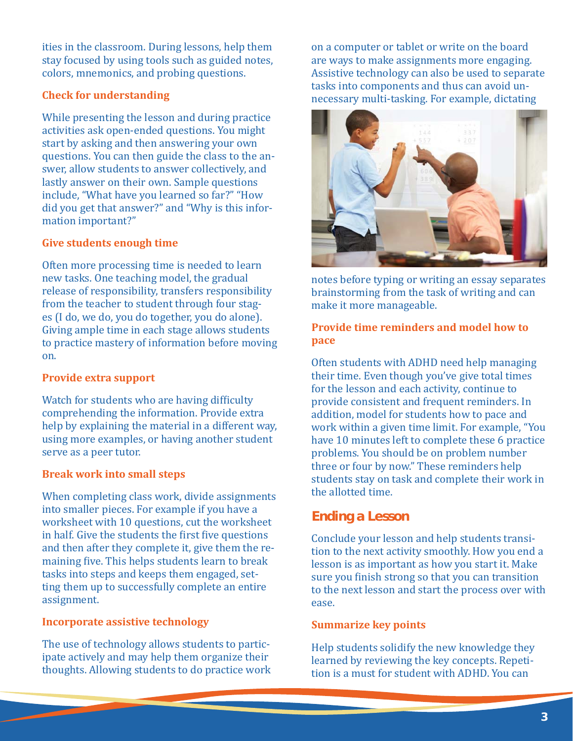ities in the classroom. During lessons, help them stay focused by using tools such as guided notes, colors, mnemonics, and probing questions.

# **Check for understanding**

While presenting the lesson and during practice activities ask open-ended questions. You might start by asking and then answering your own questions. You can then guide the class to the answer, allow students to answer collectively, and lastly answer on their own. Sample questions include, "What have you learned so far?" "How did you get that answer?" and "Why is this information important?"

# **Give students enough time**

Often more processing time is needed to learn new tasks. One teaching model, the gradual release of responsibility, transfers responsibility from the teacher to student through four stages (I do, we do, you do together, you do alone). Giving ample time in each stage allows students to practice mastery of information before moving on.

#### **Provide extra support**

Watch for students who are having difficulty comprehending the information. Provide extra help by explaining the material in a different way, using more examples, or having another student serve as a peer tutor.

#### **Break work into small steps**

When completing class work, divide assignments into smaller pieces. For example if you have a worksheet with 10 questions, cut the worksheet in half. Give the students the first five questions and then after they complete it, give them the remaining five. This helps students learn to break tasks into steps and keeps them engaged, setting them up to successfully complete an entire assignment.

#### **Incorporate assistive technology**

The use of technology allows students to participate actively and may help them organize their thoughts. Allowing students to do practice work on a computer or tablet or write on the board are ways to make assignments more engaging. Assistive technology can also be used to separate tasks into components and thus can avoid unnecessary multi-tasking. For example, dictating



notes before typing or writing an essay separates brainstorming from the task of writing and can make it more manageable.

# **Provide time reminders and model how to pace**

Often students with ADHD need help managing their time. Even though you've give total times for the lesson and each activity, continue to provide consistent and frequent reminders. In addition, model for students how to pace and work within a given time limit. For example, "You have 10 minutes left to complete these 6 practice problems. You should be on problem number three or four by now." These reminders help students stay on task and complete their work in the allotted time.

# **Ending a Lesson**

Conclude your lesson and help students transition to the next activity smoothly. How you end a lesson is as important as how you start it. Make sure you finish strong so that you can transition to the next lesson and start the process over with ease.

#### **Summarize key points**

Help students solidify the new knowledge they learned by reviewing the key concepts. Repetition is a must for student with ADHD. You can